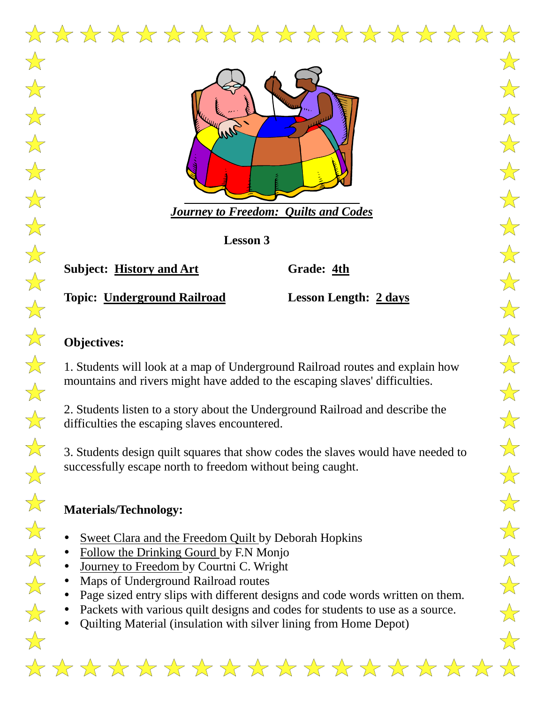

**Lesson 3**

**Subject: History and Art Grade: 4th**

**Topic: Underground Railroad Lesson Length: 2 days**

# **Objectives:**

1. Students will look at a map of Underground Railroad routes and explain how mountains and rivers might have added to the escaping slaves' difficulties.

2. Students listen to a story about the Underground Railroad and describe the difficulties the escaping slaves encountered.

3. Students design quilt squares that show codes the slaves would have needed to successfully escape north to freedom without being caught.

# **Materials/Technology:**

- Sweet Clara and the Freedom Quilt by Deborah Hopkins
- Follow the Drinking Gourd by F.N Monjo
- Journey to Freedom by Courtni C. Wright
- Maps of Underground Railroad routes
- Page sized entry slips with different designs and code words written on them.
- Packets with various quilt designs and codes for students to use as a source.
- Quilting Material (insulation with silver lining from Home Depot)

 $\frac{1}{\sqrt{2}}$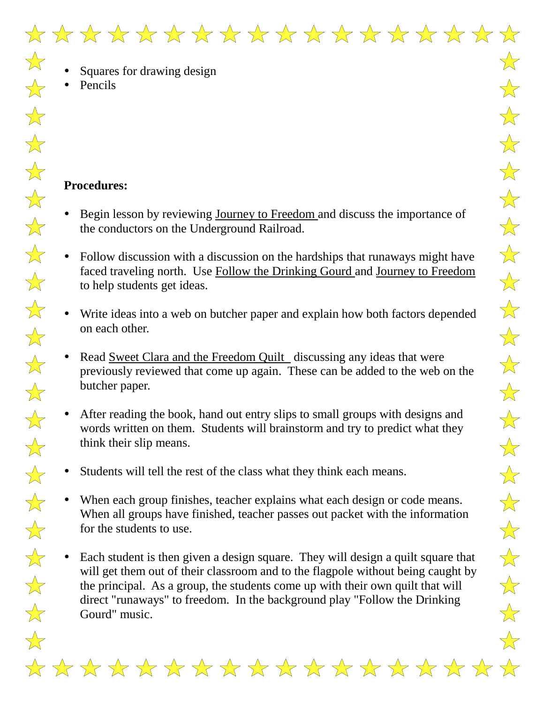$\frac{1}{\sqrt{2}}$ 

 $\frac{1}{\sqrt{2}}$ 

 $\frac{1}{\sqrt{2}}$ 

 $\frac{1}{\sqrt{2}}$ 

 $\frac{1}{\sqrt{2}}$ 

 $\frac{1}{\sqrt{2}}$ 

 $\frac{1}{\sqrt{2}}$ 

 $\frac{1}{\sqrt{2}}$ 

 $\frac{1}{\sqrt{2}}$ 

 $\frac{1}{\sqrt{2}}$ 

 $\frac{1}{\sqrt{2}}$ 

 $\frac{1}{\sqrt{2}}$ 

 $\frac{1}{\sqrt{2}}$ 

 $\frac{1}{\sqrt{2}}$ 

 $\frac{1}{\sqrt{2}}$ 

 $\frac{1}{\sqrt{2}}$ 

 $\frac{1}{\sqrt{2}}$ 

 $\frac{1}{\sqrt{2}}$ 

 $\overleftrightarrow{\lambda}$ 

 $\frac{\lambda}{\lambda}$ 

 $\overrightarrow{\lambda}$ 

 $\bigvee_{\lambda}$ 

- Squares for drawing design
- Pencils

## **Procedures:**

- Begin lesson by reviewing Journey to Freedom and discuss the importance of the conductors on the Underground Railroad.
- Follow discussion with a discussion on the hardships that runaways might have faced traveling north. Use Follow the Drinking Gourd and Journey to Freedom to help students get ideas.
- Write ideas into a web on butcher paper and explain how both factors depended on each other.
- Read Sweet Clara and the Freedom Quilt discussing any ideas that were previously reviewed that come up again. These can be added to the web on the butcher paper.
- After reading the book, hand out entry slips to small groups with designs and words written on them. Students will brainstorm and try to predict what they think their slip means.
- Students will tell the rest of the class what they think each means.
- When each group finishes, teacher explains what each design or code means. When all groups have finished, teacher passes out packet with the information for the students to use.
- Each student is then given a design square. They will design a quilt square that will get them out of their classroom and to the flagpole without being caught by the principal. As a group, the students come up with their own quilt that will direct "runaways" to freedom. In the background play "Follow the Drinking Gourd" music.